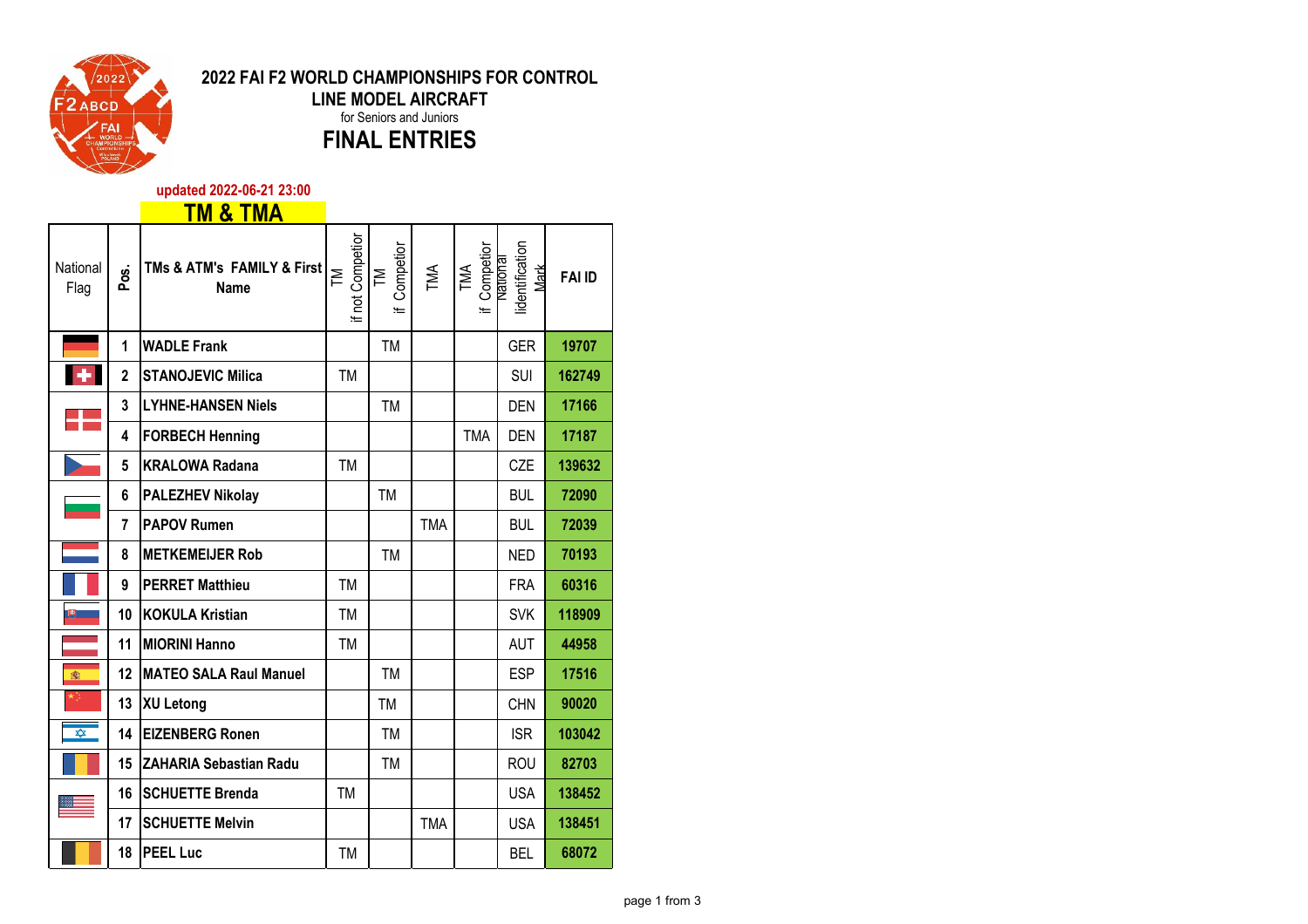

## **2022 FAI F2 WORLD CHAMPIONSHIPS FOR CONTROL LINE MODEL AIRCRAFT** for Seniors and Juniors **FINAL ENTRIES**

**updated 2022-06-21 23:00**

## **TM & TMA**

| National<br>Flag | Pos.           | TMs & ATM's FAMILY & First<br><b>Name</b> | if not Competior<br>ΣĒ | Competion<br>$\mathbb{M}$<br>Æ | TMA        | Competior<br>National<br>TMA<br>۱Ē | lidentification<br>Mark | <b>FAI ID</b> |
|------------------|----------------|-------------------------------------------|------------------------|--------------------------------|------------|------------------------------------|-------------------------|---------------|
|                  | 1              | <b>WADLE Frank</b>                        |                        | <b>TM</b>                      |            |                                    | <b>GER</b>              | 19707         |
| $\color{red}+$   | 2              | <b>STANOJEVIC Milica</b>                  | <b>TM</b>              |                                |            |                                    | <b>SUI</b>              | 162749        |
|                  | 3              | <b>LYHNE-HANSEN Niels</b>                 |                        | <b>TM</b>                      |            |                                    | <b>DEN</b>              | 17166         |
|                  | 4              | <b>FORBECH Henning</b>                    |                        |                                |            | <b>TMA</b>                         | <b>DEN</b>              | 17187         |
|                  | 5              | <b>KRALOWA Radana</b>                     | <b>TM</b>              |                                |            |                                    | CZE                     | 139632        |
|                  | 6              | <b>PALEZHEV Nikolay</b>                   |                        | <b>TM</b>                      |            |                                    | <b>BUL</b>              | 72090         |
|                  | $\overline{7}$ | <b>PAPOV Rumen</b>                        |                        |                                | <b>TMA</b> |                                    | <b>BUL</b>              | 72039         |
|                  | 8              | <b>METKEMEIJER Rob</b>                    |                        | <b>TM</b>                      |            |                                    | <b>NED</b>              | 70193         |
|                  | 9              | <b>PERRET Matthieu</b>                    | <b>TM</b>              |                                |            |                                    | <b>FRA</b>              | 60316         |
| 興                | 10             | <b>KOKULA Kristian</b>                    | TM                     |                                |            |                                    | <b>SVK</b>              | 118909        |
|                  | 11             | <b>MIORINI Hanno</b>                      | TM                     |                                |            |                                    | <b>AUT</b>              | 44958         |
| 靏                | 12             | <b>MATEO SALA Raul Manuel</b>             |                        | <b>TM</b>                      |            |                                    | <b>ESP</b>              | 17516         |
|                  | 13             | XU Letong                                 |                        | TM                             |            |                                    | <b>CHN</b>              | 90020         |
| ✿                | 14             | <b>EIZENBERG Ronen</b>                    |                        | <b>TM</b>                      |            |                                    | <b>ISR</b>              | 103042        |
|                  | 15             | <b>ZAHARIA Sebastian Radu</b>             |                        | <b>TM</b>                      |            |                                    | <b>ROU</b>              | 82703         |
|                  | 16             | <b>SCHUETTE Brenda</b>                    | <b>TM</b>              |                                |            |                                    | <b>USA</b>              | 138452        |
|                  | 17             | <b>SCHUETTE Melvin</b>                    |                        |                                | <b>TMA</b> |                                    | <b>USA</b>              | 138451        |
|                  | 18             | <b>PEEL Luc</b>                           | TM                     |                                |            |                                    | BEL                     | 68072         |